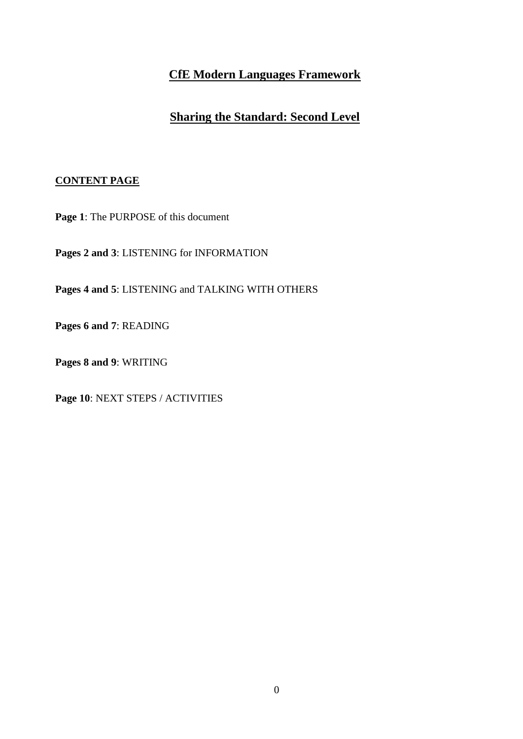# **CfE Modern Languages Framework**

## **Sharing the Standard: Second Level**

## **CONTENT PAGE**

**Page 1**: The PURPOSE of this document

**Pages 2 and 3**: LISTENING for INFORMATION

**Pages 4 and 5**: [LISTENING and TALKING WITH OTHERS](../../../Users/rdelaney/Desktop/ELABORATION%20%20SEPT%2009/LANGUAGES%20LADDER%20SPEAKING.doc)

**Pages 6 and 7**: READING

**Pages 8 and 9**: WRITING

**Page 10**: NEXT STEPS / ACTIVITIES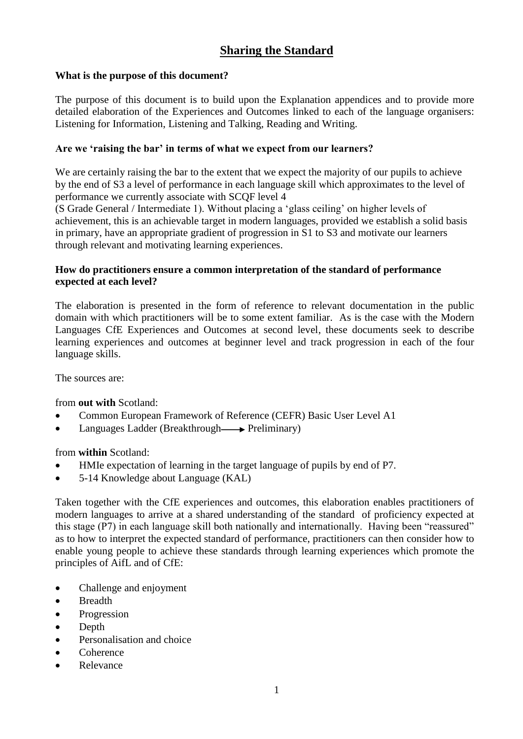## **Sharing the Standard**

## **What is the purpose of this document?**

The purpose of this document is to build upon the Explanation appendices and to provide more detailed elaboration of the Experiences and Outcomes linked to each of the language organisers: Listening for Information, Listening and Talking, Reading and Writing.

## **Are we 'raising the bar' in terms of what we expect from our learners?**

We are certainly raising the bar to the extent that we expect the majority of our pupils to achieve by the end of S3 a level of performance in each language skill which approximates to the level of performance we currently associate with SCQF level 4

(S Grade General / Intermediate 1). Without placing a "glass ceiling" on higher levels of achievement, this is an achievable target in modern languages, provided we establish a solid basis in primary, have an appropriate gradient of progression in S1 to S3 and motivate our learners through relevant and motivating learning experiences.

#### **How do practitioners ensure a common interpretation of the standard of performance expected at each level?**

The elaboration is presented in the form of reference to relevant documentation in the public domain with which practitioners will be to some extent familiar. As is the case with the Modern Languages CfE Experiences and Outcomes at second level, these documents seek to describe learning experiences and outcomes at beginner level and track progression in each of the four language skills.

The sources are:

from **out with** Scotland:

- Common European Framework of Reference (CEFR) Basic User Level A1
- $\bullet$  Languages Ladder (Breakthrough  $\rightarrow$  Preliminary)

from **within** Scotland:

- HMIe expectation of learning in the target language of pupils by end of P7.
- 5-14 Knowledge about Language (KAL)

Taken together with the CfE experiences and outcomes, this elaboration enables practitioners of modern languages to arrive at a shared understanding of the standard of proficiency expected at this stage (P7) in each language skill both nationally and internationally. Having been "reassured" as to how to interpret the expected standard of performance, practitioners can then consider how to enable young people to achieve these standards through learning experiences which promote the principles of AifL and of CfE:

- Challenge and enjoyment
- Breadth
- Progression
- Depth
- Personalisation and choice
- Coherence
- Relevance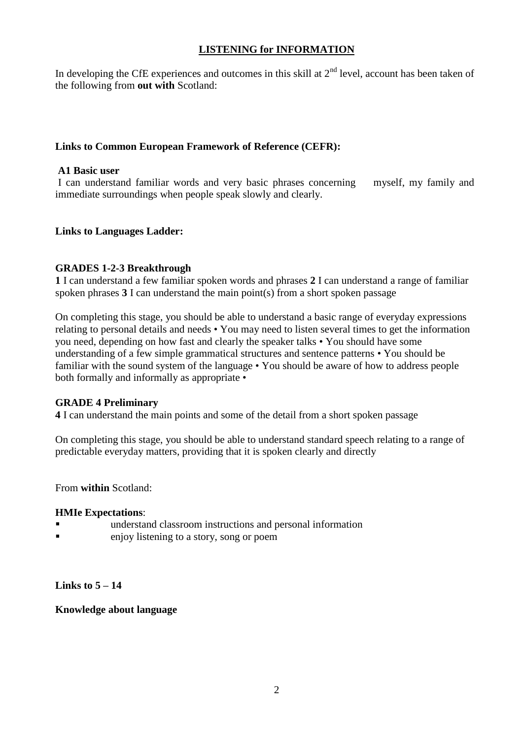## **LISTENING for INFORMATION**

In developing the CfE experiences and outcomes in this skill at  $2<sup>nd</sup>$  level, account has been taken of the following from **out with** Scotland:

## **Links to Common European Framework of Reference (CEFR):**

## **A1 Basic user**

I can understand familiar words and very basic phrases concerning myself, my family and immediate surroundings when people speak slowly and clearly.

## **Links to Languages Ladder:**

## **GRADES 1-2-3 Breakthrough**

**1** I can understand a few familiar spoken words and phrases **2** I can understand a range of familiar spoken phrases **3** I can understand the main point(s) from a short spoken passage

On completing this stage, you should be able to understand a basic range of everyday expressions relating to personal details and needs • You may need to listen several times to get the information you need, depending on how fast and clearly the speaker talks • You should have some understanding of a few simple grammatical structures and sentence patterns • You should be familiar with the sound system of the language • You should be aware of how to address people both formally and informally as appropriate •

#### **GRADE 4 Preliminary**

**4** I can understand the main points and some of the detail from a short spoken passage

On completing this stage, you should be able to understand standard speech relating to a range of predictable everyday matters, providing that it is spoken clearly and directly

From **within** Scotland:

#### **HMIe Expectations**:

- understand classroom instructions and personal information
- **e** enjoy listening to a story, song or poem

**Links to 5 – 14**

**Knowledge about language**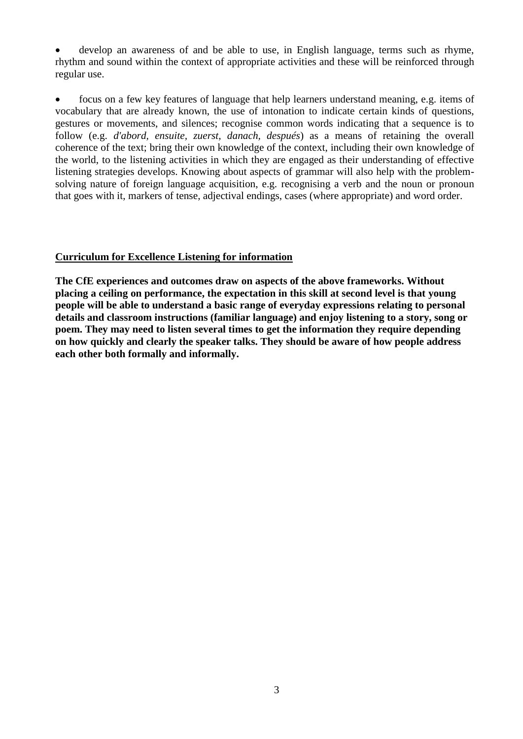develop an awareness of and be able to use, in English language, terms such as rhyme, rhythm and sound within the context of appropriate activities and these will be reinforced through regular use.

 focus on a few key features of language that help learners understand meaning, e.g. items of vocabulary that are already known, the use of intonation to indicate certain kinds of questions, gestures or movements, and silences; recognise common words indicating that a sequence is to follow (e.g. *d'abord, ensuite, zuerst, danach, después*) as a means of retaining the overall coherence of the text; bring their own knowledge of the context, including their own knowledge of the world, to the listening activities in which they are engaged as their understanding of effective listening strategies develops. Knowing about aspects of grammar will also help with the problemsolving nature of foreign language acquisition, e.g. recognising a verb and the noun or pronoun that goes with it, markers of tense, adjectival endings, cases (where appropriate) and word order.

## **Curriculum for Excellence [Listening for information](../Local%20Settings/Temp/_ZCTmp.Dir/LANGUAGES%20LADDER%20LISTENING.doc)**

**The CfE experiences and outcomes draw on aspects of the above frameworks. Without placing a ceiling on performance, the expectation in this skill at second level is that young people will be able to understand a basic range of everyday expressions relating to personal details and classroom instructions (familiar language) and enjoy listening to a story, song or poem. They may need to listen several times to get the information they require depending on how quickly and clearly the speaker talks. They should be aware of how people address each other both formally and informally.**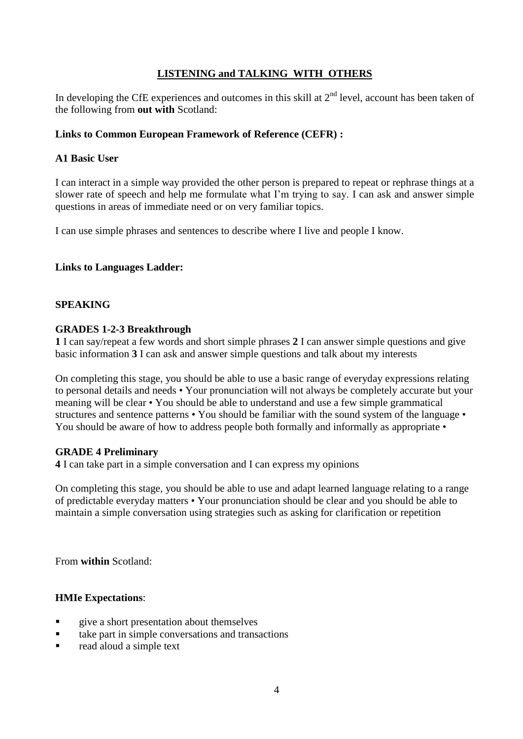## **[LISTENING and TALKING WITH OTHERS](../../../Users/rdelaney/Desktop/ELABORATION%20%20SEPT%2009/LANGUAGES%20LADDER%20SPEAKING.doc)**

In developing the CfE experiences and outcomes in this skill at  $2<sup>nd</sup>$  level, account has been taken of the following from **out with** Scotland:

## **Links to Common European Framework of Reference (CEFR) :**

#### **A1 Basic User**

I can interact in a simple way provided the other person is prepared to repeat or rephrase things at a slower rate of speech and help me formulate what I"m trying to say. I can ask and answer simple questions in areas of immediate need or on very familiar topics.

I can use simple phrases and sentences to describe where I live and people I know.

#### **Links to Languages Ladder:**

#### **SPEAKING**

#### **GRADES 1-2-3 Breakthrough**

**1** I can say/repeat a few words and short simple phrases **2** I can answer simple questions and give basic information **3** I can ask and answer simple questions and talk about my interests

On completing this stage, you should be able to use a basic range of everyday expressions relating to personal details and needs • Your pronunciation will not always be completely accurate but your meaning will be clear • You should be able to understand and use a few simple grammatical structures and sentence patterns • You should be familiar with the sound system of the language • You should be aware of how to address people both formally and informally as appropriate  $\bullet$ 

#### **GRADE 4 Preliminary**

**4** I can take part in a simple conversation and I can express my opinions

On completing this stage, you should be able to use and adapt learned language relating to a range of predictable everyday matters • Your pronunciation should be clear and you should be able to maintain a simple conversation using strategies such as asking for clarification or repetition

From **within** Scotland:

#### **HMIe Expectations**:

- **quare-** give a short presentation about themselves
- take part in simple conversations and transactions
- read aloud a simple text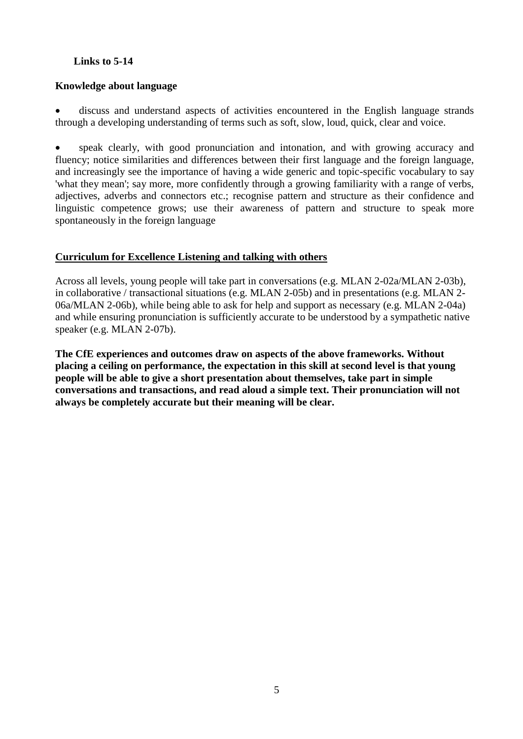## **Links to 5-14**

## **Knowledge about language**

 discuss and understand aspects of activities encountered in the English language strands through a developing understanding of terms such as soft, slow, loud, quick, clear and voice.

 speak clearly, with good pronunciation and intonation, and with growing accuracy and fluency; notice similarities and differences between their first language and the foreign language, and increasingly see the importance of having a wide generic and topic-specific vocabulary to say 'what they mean'; say more, more confidently through a growing familiarity with a range of verbs, adjectives, adverbs and connectors etc.; recognise pattern and structure as their confidence and linguistic competence grows; use their awareness of pattern and structure to speak more spontaneously in the foreign language

## **Curriculum for Excellence [Listening and talking with others](../../../Users/rdelaney/Desktop/ELABORATION%20%20SEPT%2009/LANGUAGES%20LADDER%20SPEAKING.doc)**

Across all levels, young people will take part in conversations (e.g. MLAN 2-02a/MLAN 2-03b), in collaborative / transactional situations (e.g. MLAN 2-05b) and in presentations (e.g. MLAN 2- 06a/MLAN 2-06b), while being able to ask for help and support as necessary (e.g. MLAN 2-04a) and while ensuring pronunciation is sufficiently accurate to be understood by a sympathetic native speaker (e.g. MLAN 2-07b).

**The CfE experiences and outcomes draw on aspects of the above frameworks. Without placing a ceiling on performance, the expectation in this skill at second level is that young people will be able to give a short presentation about themselves, take part in simple conversations and transactions, and read aloud a simple text. Their pronunciation will not always be completely accurate but their meaning will be clear.**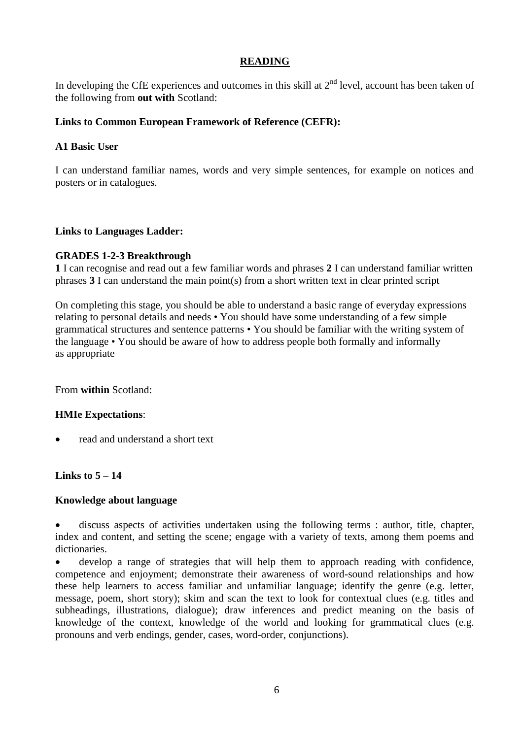## **READING**

In developing the CfE experiences and outcomes in this skill at  $2<sup>nd</sup>$  level, account has been taken of the following from **out with** Scotland:

## **Links to Common European Framework of Reference (CEFR):**

## **A1 Basic User**

I can understand familiar names, words and very simple sentences, for example on notices and posters or in catalogues.

## **Links to Languages Ladder:**

## **GRADES 1-2-3 Breakthrough**

**1** I can recognise and read out a few familiar words and phrases **2** I can understand familiar written phrases  $3I$  can understand the main point(s) from a short written text in clear printed script

On completing this stage, you should be able to understand a basic range of everyday expressions relating to personal details and needs • You should have some understanding of a few simple grammatical structures and sentence patterns • You should be familiar with the writing system of the language • You should be aware of how to address people both formally and informally as appropriate

From **within** Scotland:

#### **HMIe Expectations**:

read and understand a short text

## **Links to 5 – 14**

#### **Knowledge about language**

 discuss aspects of activities undertaken using the following terms : author, title, chapter, index and content, and setting the scene; engage with a variety of texts, among them poems and dictionaries.

 develop a range of strategies that will help them to approach reading with confidence, competence and enjoyment; demonstrate their awareness of word-sound relationships and how these help learners to access familiar and unfamiliar language; identify the genre (e.g. letter, message, poem, short story); skim and scan the text to look for contextual clues (e.g. titles and subheadings, illustrations, dialogue); draw inferences and predict meaning on the basis of knowledge of the context, knowledge of the world and looking for grammatical clues (e.g. pronouns and verb endings, gender, cases, word-order, conjunctions).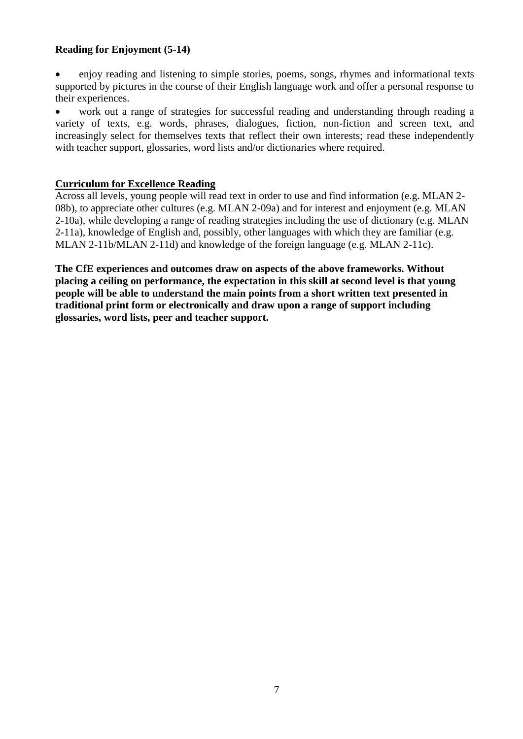## **Reading for Enjoyment (5-14)**

 enjoy reading and listening to simple stories, poems, songs, rhymes and informational texts supported by pictures in the course of their English language work and offer a personal response to their experiences.

 work out a range of strategies for successful reading and understanding through reading a variety of texts, e.g. words, phrases, dialogues, fiction, non-fiction and screen text, and increasingly select for themselves texts that reflect their own interests; read these independently with teacher support, glossaries, word lists and/or dictionaries where required.

#### **Curriculum for Excellence Reading**

Across all levels, young people will read text in order to use and find information (e.g. MLAN 2- 08b), to appreciate other cultures (e.g. MLAN 2-09a) and for interest and enjoyment (e.g. MLAN 2-10a), while developing a range of reading strategies including the use of dictionary (e.g. MLAN 2-11a), knowledge of English and, possibly, other languages with which they are familiar (e.g. MLAN 2-11b/MLAN 2-11d) and knowledge of the foreign language (e.g. MLAN 2-11c).

**The CfE experiences and outcomes draw on aspects of the above frameworks. Without placing a ceiling on performance, the expectation in this skill at second level is that young people will be able to understand the main points from a short written text presented in traditional print form or electronically and draw upon a range of support including glossaries, word lists, peer and teacher support.**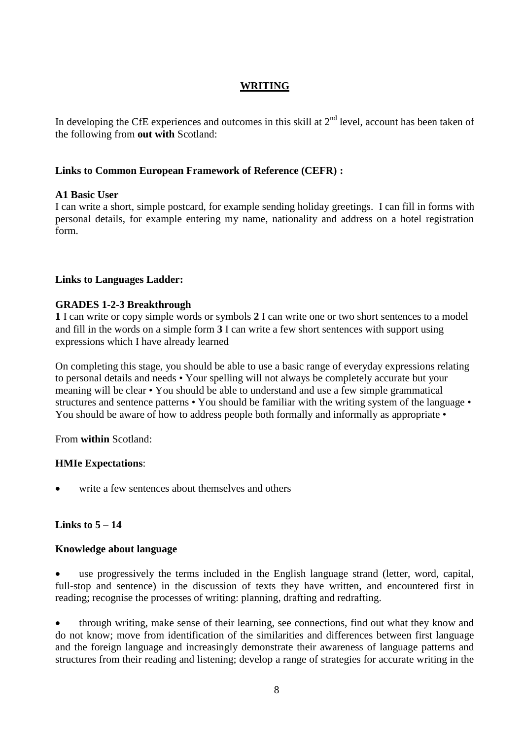## **WRITING**

In developing the CfE experiences and outcomes in this skill at  $2<sup>nd</sup>$  level, account has been taken of the following from **out with** Scotland:

## **Links to Common European Framework of Reference (CEFR) :**

## **A1 Basic User**

I can write a short, simple postcard, for example sending holiday greetings. I can fill in forms with personal details, for example entering my name, nationality and address on a hotel registration form.

## **Links to Languages Ladder:**

#### **GRADES 1-2-3 Breakthrough**

**1** I can write or copy simple words or symbols **2** I can write one or two short sentences to a model and fill in the words on a simple form **3** I can write a few short sentences with support using expressions which I have already learned

On completing this stage, you should be able to use a basic range of everyday expressions relating to personal details and needs • Your spelling will not always be completely accurate but your meaning will be clear • You should be able to understand and use a few simple grammatical structures and sentence patterns • You should be familiar with the writing system of the language • You should be aware of how to address people both formally and informally as appropriate  $\bullet$ 

From **within** Scotland:

## **HMIe Expectations**:

write a few sentences about themselves and others

## **Links to 5 – 14**

#### **Knowledge about language**

 use progressively the terms included in the English language strand (letter, word, capital, full-stop and sentence) in the discussion of texts they have written, and encountered first in reading; recognise the processes of writing: planning, drafting and redrafting.

 through writing, make sense of their learning, see connections, find out what they know and do not know; move from identification of the similarities and differences between first language and the foreign language and increasingly demonstrate their awareness of language patterns and structures from their reading and listening; develop a range of strategies for accurate writing in the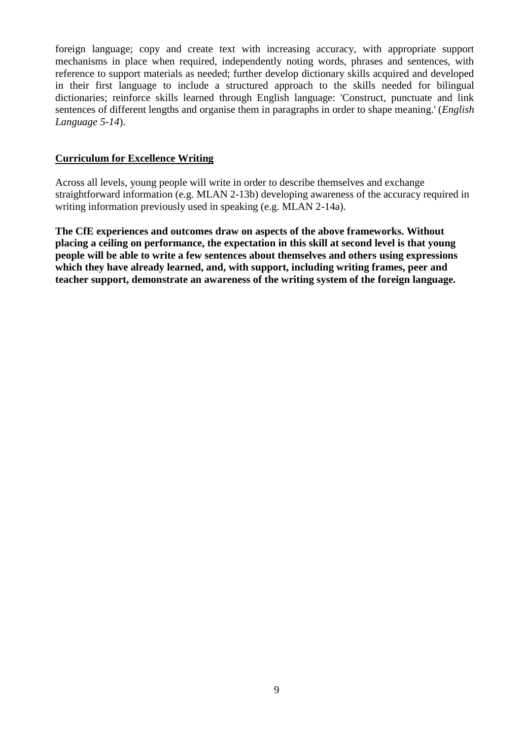foreign language; copy and create text with increasing accuracy, with appropriate support mechanisms in place when required, independently noting words, phrases and sentences, with reference to support materials as needed; further develop dictionary skills acquired and developed in their first language to include a structured approach to the skills needed for bilingual dictionaries; reinforce skills learned through English language: 'Construct, punctuate and link sentences of different lengths and organise them in paragraphs in order to shape meaning.' (*English Language 5-14*).

## **Curriculum for Excellence Writing**

Across all levels, young people will write in order to describe themselves and exchange straightforward information (e.g. MLAN 2-13b) developing awareness of the accuracy required in writing information previously used in speaking (e.g. MLAN 2-14a).

**The CfE experiences and outcomes draw on aspects of the above frameworks. Without placing a ceiling on performance, the expectation in this skill at second level is that young people will be able to write a few sentences about themselves and others using expressions which they have already learned, and, with support, including writing frames, peer and teacher support, demonstrate an awareness of the writing system of the foreign language.**